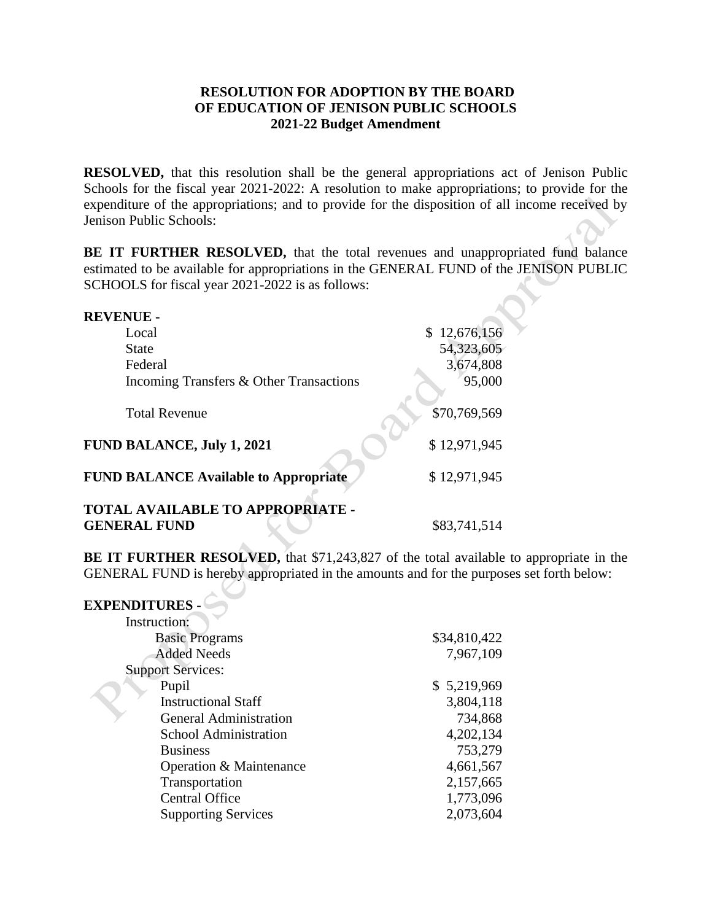## **RESOLUTION FOR ADOPTION BY THE BOARD OF EDUCATION OF JENISON PUBLIC SCHOOLS 2021-22 Budget Amendment**

 **RESOLVED,** that this resolution shall be the general appropriations act of Jenison Public Schools for the fiscal year 2021-2022: A resolution to make appropriations; to provide for the expenditure of the appropriations; and to provide for the disposition of all income received by Jenison Public Schools:

 **BE IT FURTHER RESOLVED,** that the total revenues and unappropriated fund balance estimated to be available for appropriations in the GENERAL FUND of the JENISON PUBLIC SCHOOLS for fiscal year 2021-2022 is as follows:

| <b>REVENUE -</b>                             |              |
|----------------------------------------------|--------------|
| Local                                        | \$12,676,156 |
| <b>State</b>                                 | 54,323,605   |
| Federal                                      | 3,674,808    |
| Incoming Transfers & Other Transactions      | 95,000       |
| <b>Total Revenue</b>                         | \$70,769,569 |
| <b>FUND BALANCE, July 1, 2021</b>            | \$12,971,945 |
| <b>FUND BALANCE Available to Appropriate</b> | \$12,971,945 |
| <b>TOTAL AVAILABLE TO APPROPRIATE -</b>      |              |
| <b>GENERAL FUND</b>                          | \$83,741,514 |

**BE IT FURTHER RESOLVED,** that \$71,243,827 of the total available to appropriate in the GENERAL FUND is hereby appropriated in the amounts and for the purposes set forth below:

| <b>EXPENDITURES -</b>         |              |
|-------------------------------|--------------|
| Instruction:                  |              |
| <b>Basic Programs</b>         | \$34,810,422 |
| <b>Added Needs</b>            | 7,967,109    |
| <b>Support Services:</b>      |              |
| Pupil                         | \$5,219,969  |
| <b>Instructional Staff</b>    | 3,804,118    |
| <b>General Administration</b> | 734,868      |
| <b>School Administration</b>  | 4,202,134    |
| <b>Business</b>               | 753,279      |
| Operation & Maintenance       | 4,661,567    |
| Transportation                | 2,157,665    |
| <b>Central Office</b>         | 1,773,096    |
| <b>Supporting Services</b>    | 2,073,604    |

 $\sim$  N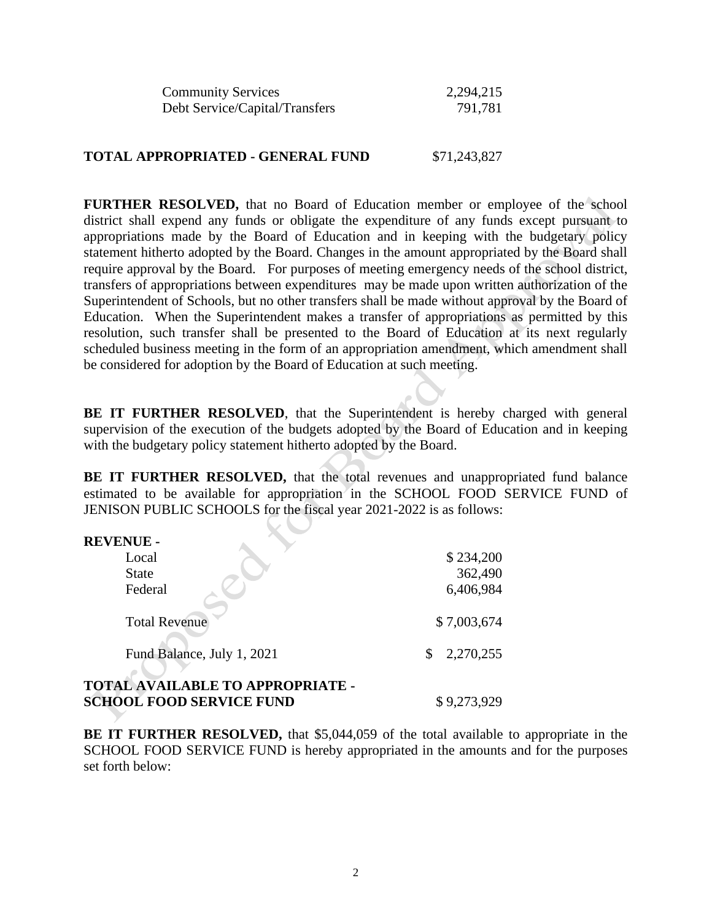| <b>Community Services</b>      | 2,294,215 |
|--------------------------------|-----------|
| Debt Service/Capital/Transfers | 791,781   |

## **TOTAL APPROPRIATED - GENERAL FUND** \$71,243,827

 district shall expend any funds or obligate the expenditure of any funds except pursuant to appropriations made by the Board of Education and in keeping with the budgetary policy require approval by the Board. For purposes of meeting emergency needs of the school district, transfers of appropriations between expenditures may be made upon written authorization of the Superintendent of Schools, but no other transfers shall be made without approval by the Board of Education. When the Superintendent makes a transfer of appropriations as permitted by this resolution, such transfer shall be presented to the Board of Education at its next regularly be considered for adoption by the Board of Education at such meeting. FURTHER RESOLVED, that no Board of Education member or employee of the school statement hitherto adopted by the Board. Changes in the amount appropriated by the Board shall scheduled business meeting in the form of an appropriation amendment, which amendment shall

BE IT FURTHER RESOLVED, that the Superintendent is hereby charged with general supervision of the execution of the budgets adopted by the Board of Education and in keeping with the budgetary policy statement hitherto adopted by the Board.

BE IT FURTHER RESOLVED, that the total revenues and unappropriated fund balance estimated to be available for appropriation in the SCHOOL FOOD SERVICE FUND of JENISON PUBLIC SCHOOLS for the fiscal year 2021-2022 is as follows:

| <b>REVENUE -</b>                                                           |             |
|----------------------------------------------------------------------------|-------------|
| Local                                                                      | \$234,200   |
| <b>State</b>                                                               | 362,490     |
| Federal                                                                    | 6,406,984   |
| <b>Total Revenue</b>                                                       | \$7,003,674 |
| Fund Balance, July 1, 2021                                                 | 2,270,255   |
| <b>TOTAL AVAILABLE TO APPROPRIATE -</b><br><b>SCHOOL FOOD SERVICE FUND</b> | \$9,273,929 |

**BE IT FURTHER RESOLVED,** that \$5,044,059 of the total available to appropriate in the SCHOOL FOOD SERVICE FUND is hereby appropriated in the amounts and for the purposes set forth below: